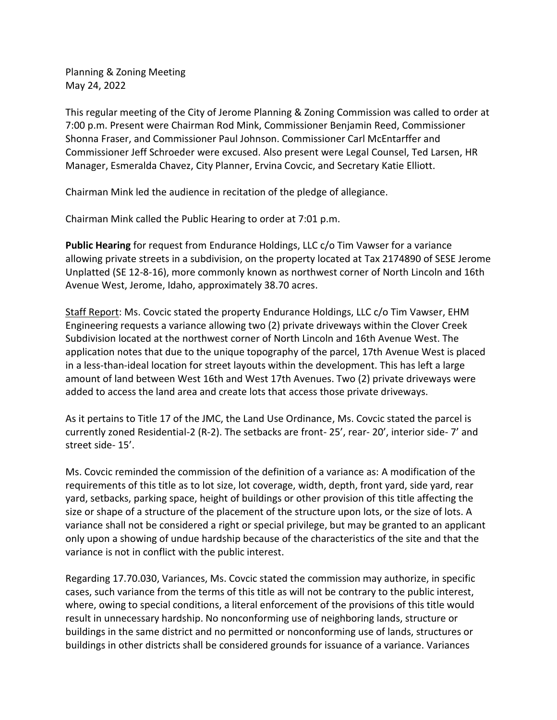Planning & Zoning Meeting May 24, 2022

This regular meeting of the City of Jerome Planning & Zoning Commission was called to order at 7:00 p.m. Present were Chairman Rod Mink, Commissioner Benjamin Reed, Commissioner Shonna Fraser, and Commissioner Paul Johnson. Commissioner Carl McEntarffer and Commissioner Jeff Schroeder were excused. Also present were Legal Counsel, Ted Larsen, HR Manager, Esmeralda Chavez, City Planner, Ervina Covcic, and Secretary Katie Elliott.

Chairman Mink led the audience in recitation of the pledge of allegiance.

Chairman Mink called the Public Hearing to order at 7:01 p.m.

**Public Hearing** for request from Endurance Holdings, LLC c/o Tim Vawser for a variance allowing private streets in a subdivision, on the property located at Tax 2174890 of SESE Jerome Unplatted (SE 12-8-16), more commonly known as northwest corner of North Lincoln and 16th Avenue West, Jerome, Idaho, approximately 38.70 acres.

Staff Report: Ms. Covcic stated the property Endurance Holdings, LLC c/o Tim Vawser, EHM Engineering requests a variance allowing two (2) private driveways within the Clover Creek Subdivision located at the northwest corner of North Lincoln and 16th Avenue West. The application notes that due to the unique topography of the parcel, 17th Avenue West is placed in a less-than-ideal location for street layouts within the development. This has left a large amount of land between West 16th and West 17th Avenues. Two (2) private driveways were added to access the land area and create lots that access those private driveways.

As it pertains to Title 17 of the JMC, the Land Use Ordinance, Ms. Covcic stated the parcel is currently zoned Residential-2 (R-2). The setbacks are front- 25', rear- 20', interior side- 7' and street side- 15'.

Ms. Covcic reminded the commission of the definition of a variance as: A modification of the requirements of this title as to lot size, lot coverage, width, depth, front yard, side yard, rear yard, setbacks, parking space, height of buildings or other provision of this title affecting the size or shape of a structure of the placement of the structure upon lots, or the size of lots. A variance shall not be considered a right or special privilege, but may be granted to an applicant only upon a showing of undue hardship because of the characteristics of the site and that the variance is not in conflict with the public interest.

Regarding 17.70.030, Variances, Ms. Covcic stated the commission may authorize, in specific cases, such variance from the terms of this title as will not be contrary to the public interest, where, owing to special conditions, a literal enforcement of the provisions of this title would result in unnecessary hardship. No nonconforming use of neighboring lands, structure or buildings in the same district and no permitted or nonconforming use of lands, structures or buildings in other districts shall be considered grounds for issuance of a variance. Variances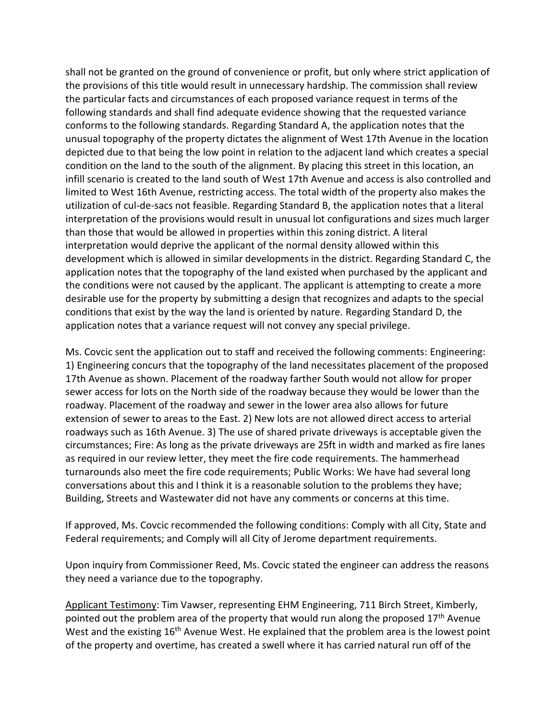shall not be granted on the ground of convenience or profit, but only where strict application of the provisions of this title would result in unnecessary hardship. The commission shall review the particular facts and circumstances of each proposed variance request in terms of the following standards and shall find adequate evidence showing that the requested variance conforms to the following standards. Regarding Standard A, the application notes that the unusual topography of the property dictates the alignment of West 17th Avenue in the location depicted due to that being the low point in relation to the adjacent land which creates a special condition on the land to the south of the alignment. By placing this street in this location, an infill scenario is created to the land south of West 17th Avenue and access is also controlled and limited to West 16th Avenue, restricting access. The total width of the property also makes the utilization of cul-de-sacs not feasible. Regarding Standard B, the application notes that a literal interpretation of the provisions would result in unusual lot configurations and sizes much larger than those that would be allowed in properties within this zoning district. A literal interpretation would deprive the applicant of the normal density allowed within this development which is allowed in similar developments in the district. Regarding Standard C, the application notes that the topography of the land existed when purchased by the applicant and the conditions were not caused by the applicant. The applicant is attempting to create a more desirable use for the property by submitting a design that recognizes and adapts to the special conditions that exist by the way the land is oriented by nature. Regarding Standard D, the application notes that a variance request will not convey any special privilege.

Ms. Covcic sent the application out to staff and received the following comments: Engineering: 1) Engineering concurs that the topography of the land necessitates placement of the proposed 17th Avenue as shown. Placement of the roadway farther South would not allow for proper sewer access for lots on the North side of the roadway because they would be lower than the roadway. Placement of the roadway and sewer in the lower area also allows for future extension of sewer to areas to the East. 2) New lots are not allowed direct access to arterial roadways such as 16th Avenue. 3) The use of shared private driveways is acceptable given the circumstances; Fire: As long as the private driveways are 25ft in width and marked as fire lanes as required in our review letter, they meet the fire code requirements. The hammerhead turnarounds also meet the fire code requirements; Public Works: We have had several long conversations about this and I think it is a reasonable solution to the problems they have; Building, Streets and Wastewater did not have any comments or concerns at this time.

If approved, Ms. Covcic recommended the following conditions: Comply with all City, State and Federal requirements; and Comply will all City of Jerome department requirements.

Upon inquiry from Commissioner Reed, Ms. Covcic stated the engineer can address the reasons they need a variance due to the topography.

Applicant Testimony: Tim Vawser, representing EHM Engineering, 711 Birch Street, Kimberly, pointed out the problem area of the property that would run along the proposed  $17<sup>th</sup>$  Avenue West and the existing 16<sup>th</sup> Avenue West. He explained that the problem area is the lowest point of the property and overtime, has created a swell where it has carried natural run off of the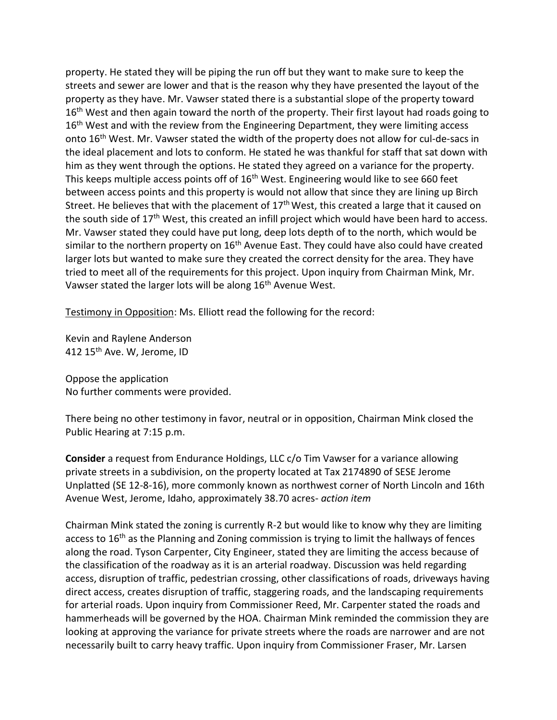property. He stated they will be piping the run off but they want to make sure to keep the streets and sewer are lower and that is the reason why they have presented the layout of the property as they have. Mr. Vawser stated there is a substantial slope of the property toward 16<sup>th</sup> West and then again toward the north of the property. Their first layout had roads going to 16<sup>th</sup> West and with the review from the Engineering Department, they were limiting access onto  $16<sup>th</sup>$  West. Mr. Vawser stated the width of the property does not allow for cul-de-sacs in the ideal placement and lots to conform. He stated he was thankful for staff that sat down with him as they went through the options. He stated they agreed on a variance for the property. This keeps multiple access points off of 16<sup>th</sup> West. Engineering would like to see 660 feet between access points and this property is would not allow that since they are lining up Birch Street. He believes that with the placement of 17<sup>th</sup> West, this created a large that it caused on the south side of 17<sup>th</sup> West, this created an infill project which would have been hard to access. Mr. Vawser stated they could have put long, deep lots depth of to the north, which would be similar to the northern property on  $16<sup>th</sup>$  Avenue East. They could have also could have created larger lots but wanted to make sure they created the correct density for the area. They have tried to meet all of the requirements for this project. Upon inquiry from Chairman Mink, Mr. Vawser stated the larger lots will be along 16<sup>th</sup> Avenue West.

Testimony in Opposition: Ms. Elliott read the following for the record:

Kevin and Raylene Anderson 412 15<sup>th</sup> Ave. W, Jerome, ID

Oppose the application No further comments were provided.

There being no other testimony in favor, neutral or in opposition, Chairman Mink closed the Public Hearing at 7:15 p.m.

**Consider** a request from Endurance Holdings, LLC c/o Tim Vawser for a variance allowing private streets in a subdivision, on the property located at Tax 2174890 of SESE Jerome Unplatted (SE 12-8-16), more commonly known as northwest corner of North Lincoln and 16th Avenue West, Jerome, Idaho, approximately 38.70 acres- *action item*

Chairman Mink stated the zoning is currently R-2 but would like to know why they are limiting access to 16<sup>th</sup> as the Planning and Zoning commission is trying to limit the hallways of fences along the road. Tyson Carpenter, City Engineer, stated they are limiting the access because of the classification of the roadway as it is an arterial roadway. Discussion was held regarding access, disruption of traffic, pedestrian crossing, other classifications of roads, driveways having direct access, creates disruption of traffic, staggering roads, and the landscaping requirements for arterial roads. Upon inquiry from Commissioner Reed, Mr. Carpenter stated the roads and hammerheads will be governed by the HOA. Chairman Mink reminded the commission they are looking at approving the variance for private streets where the roads are narrower and are not necessarily built to carry heavy traffic. Upon inquiry from Commissioner Fraser, Mr. Larsen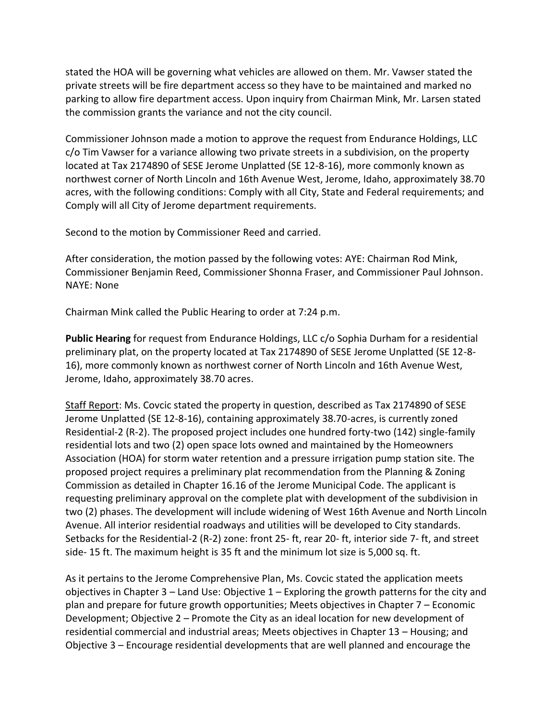stated the HOA will be governing what vehicles are allowed on them. Mr. Vawser stated the private streets will be fire department access so they have to be maintained and marked no parking to allow fire department access. Upon inquiry from Chairman Mink, Mr. Larsen stated the commission grants the variance and not the city council.

Commissioner Johnson made a motion to approve the request from Endurance Holdings, LLC c/o Tim Vawser for a variance allowing two private streets in a subdivision, on the property located at Tax 2174890 of SESE Jerome Unplatted (SE 12-8-16), more commonly known as northwest corner of North Lincoln and 16th Avenue West, Jerome, Idaho, approximately 38.70 acres, with the following conditions: Comply with all City, State and Federal requirements; and Comply will all City of Jerome department requirements.

Second to the motion by Commissioner Reed and carried.

After consideration, the motion passed by the following votes: AYE: Chairman Rod Mink, Commissioner Benjamin Reed, Commissioner Shonna Fraser, and Commissioner Paul Johnson. NAYE: None

Chairman Mink called the Public Hearing to order at 7:24 p.m.

**Public Hearing** for request from Endurance Holdings, LLC c/o Sophia Durham for a residential preliminary plat, on the property located at Tax 2174890 of SESE Jerome Unplatted (SE 12-8- 16), more commonly known as northwest corner of North Lincoln and 16th Avenue West, Jerome, Idaho, approximately 38.70 acres.

Staff Report: Ms. Covcic stated the property in question, described as Tax 2174890 of SESE Jerome Unplatted (SE 12-8-16), containing approximately 38.70-acres, is currently zoned Residential-2 (R-2). The proposed project includes one hundred forty-two (142) single-family residential lots and two (2) open space lots owned and maintained by the Homeowners Association (HOA) for storm water retention and a pressure irrigation pump station site. The proposed project requires a preliminary plat recommendation from the Planning & Zoning Commission as detailed in Chapter 16.16 of the Jerome Municipal Code. The applicant is requesting preliminary approval on the complete plat with development of the subdivision in two (2) phases. The development will include widening of West 16th Avenue and North Lincoln Avenue. All interior residential roadways and utilities will be developed to City standards. Setbacks for the Residential-2 (R-2) zone: front 25- ft, rear 20- ft, interior side 7- ft, and street side- 15 ft. The maximum height is 35 ft and the minimum lot size is 5,000 sq. ft.

As it pertains to the Jerome Comprehensive Plan, Ms. Covcic stated the application meets objectives in Chapter  $3$  – Land Use: Objective  $1$  – Exploring the growth patterns for the city and plan and prepare for future growth opportunities; Meets objectives in Chapter 7 – Economic Development; Objective 2 – Promote the City as an ideal location for new development of residential commercial and industrial areas; Meets objectives in Chapter 13 – Housing; and Objective 3 – Encourage residential developments that are well planned and encourage the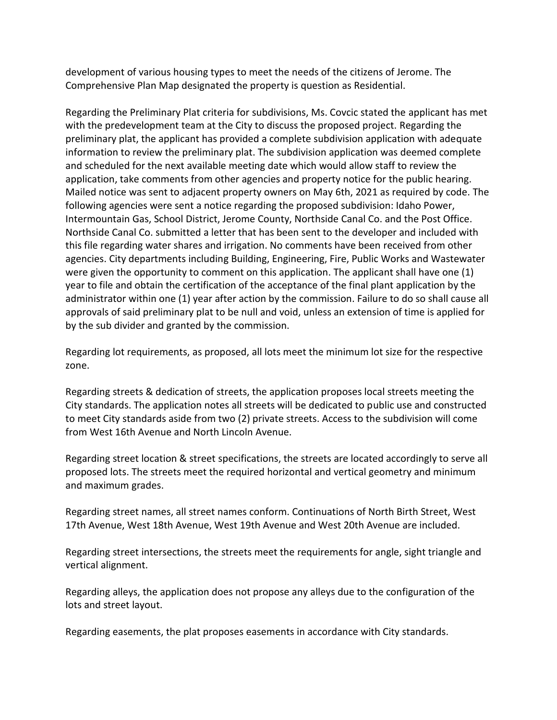development of various housing types to meet the needs of the citizens of Jerome. The Comprehensive Plan Map designated the property is question as Residential.

Regarding the Preliminary Plat criteria for subdivisions, Ms. Covcic stated the applicant has met with the predevelopment team at the City to discuss the proposed project. Regarding the preliminary plat, the applicant has provided a complete subdivision application with adequate information to review the preliminary plat. The subdivision application was deemed complete and scheduled for the next available meeting date which would allow staff to review the application, take comments from other agencies and property notice for the public hearing. Mailed notice was sent to adjacent property owners on May 6th, 2021 as required by code. The following agencies were sent a notice regarding the proposed subdivision: Idaho Power, Intermountain Gas, School District, Jerome County, Northside Canal Co. and the Post Office. Northside Canal Co. submitted a letter that has been sent to the developer and included with this file regarding water shares and irrigation. No comments have been received from other agencies. City departments including Building, Engineering, Fire, Public Works and Wastewater were given the opportunity to comment on this application. The applicant shall have one (1) year to file and obtain the certification of the acceptance of the final plant application by the administrator within one (1) year after action by the commission. Failure to do so shall cause all approvals of said preliminary plat to be null and void, unless an extension of time is applied for by the sub divider and granted by the commission.

Regarding lot requirements, as proposed, all lots meet the minimum lot size for the respective zone.

Regarding streets & dedication of streets, the application proposes local streets meeting the City standards. The application notes all streets will be dedicated to public use and constructed to meet City standards aside from two (2) private streets. Access to the subdivision will come from West 16th Avenue and North Lincoln Avenue.

Regarding street location & street specifications, the streets are located accordingly to serve all proposed lots. The streets meet the required horizontal and vertical geometry and minimum and maximum grades.

Regarding street names, all street names conform. Continuations of North Birth Street, West 17th Avenue, West 18th Avenue, West 19th Avenue and West 20th Avenue are included.

Regarding street intersections, the streets meet the requirements for angle, sight triangle and vertical alignment.

Regarding alleys, the application does not propose any alleys due to the configuration of the lots and street layout.

Regarding easements, the plat proposes easements in accordance with City standards.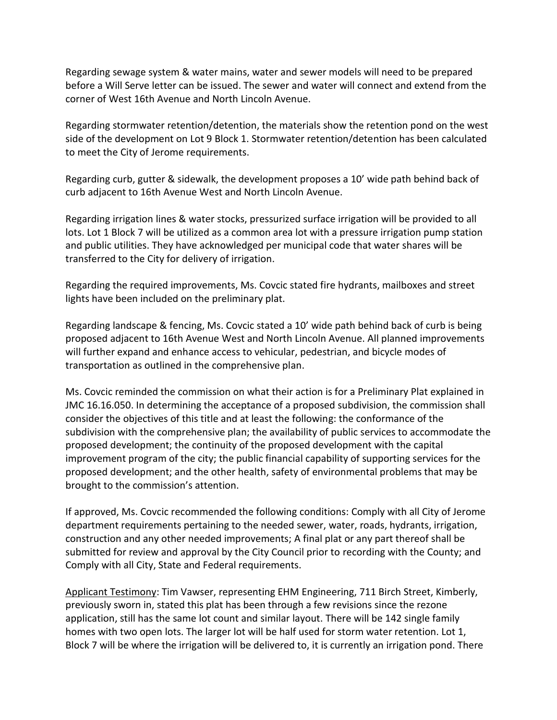Regarding sewage system & water mains, water and sewer models will need to be prepared before a Will Serve letter can be issued. The sewer and water will connect and extend from the corner of West 16th Avenue and North Lincoln Avenue.

Regarding stormwater retention/detention, the materials show the retention pond on the west side of the development on Lot 9 Block 1. Stormwater retention/detention has been calculated to meet the City of Jerome requirements.

Regarding curb, gutter & sidewalk, the development proposes a 10' wide path behind back of curb adjacent to 16th Avenue West and North Lincoln Avenue.

Regarding irrigation lines & water stocks, pressurized surface irrigation will be provided to all lots. Lot 1 Block 7 will be utilized as a common area lot with a pressure irrigation pump station and public utilities. They have acknowledged per municipal code that water shares will be transferred to the City for delivery of irrigation.

Regarding the required improvements, Ms. Covcic stated fire hydrants, mailboxes and street lights have been included on the preliminary plat.

Regarding landscape & fencing, Ms. Covcic stated a 10' wide path behind back of curb is being proposed adjacent to 16th Avenue West and North Lincoln Avenue. All planned improvements will further expand and enhance access to vehicular, pedestrian, and bicycle modes of transportation as outlined in the comprehensive plan.

Ms. Covcic reminded the commission on what their action is for a Preliminary Plat explained in JMC 16.16.050. In determining the acceptance of a proposed subdivision, the commission shall consider the objectives of this title and at least the following: the conformance of the subdivision with the comprehensive plan; the availability of public services to accommodate the proposed development; the continuity of the proposed development with the capital improvement program of the city; the public financial capability of supporting services for the proposed development; and the other health, safety of environmental problems that may be brought to the commission's attention.

If approved, Ms. Covcic recommended the following conditions: Comply with all City of Jerome department requirements pertaining to the needed sewer, water, roads, hydrants, irrigation, construction and any other needed improvements; A final plat or any part thereof shall be submitted for review and approval by the City Council prior to recording with the County; and Comply with all City, State and Federal requirements.

Applicant Testimony: Tim Vawser, representing EHM Engineering, 711 Birch Street, Kimberly, previously sworn in, stated this plat has been through a few revisions since the rezone application, still has the same lot count and similar layout. There will be 142 single family homes with two open lots. The larger lot will be half used for storm water retention. Lot 1, Block 7 will be where the irrigation will be delivered to, it is currently an irrigation pond. There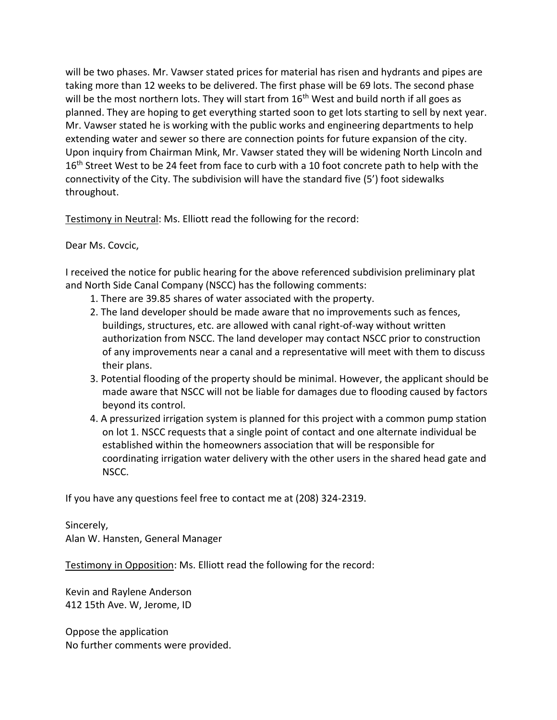will be two phases. Mr. Vawser stated prices for material has risen and hydrants and pipes are taking more than 12 weeks to be delivered. The first phase will be 69 lots. The second phase will be the most northern lots. They will start from  $16<sup>th</sup>$  West and build north if all goes as planned. They are hoping to get everything started soon to get lots starting to sell by next year. Mr. Vawser stated he is working with the public works and engineering departments to help extending water and sewer so there are connection points for future expansion of the city. Upon inquiry from Chairman Mink, Mr. Vawser stated they will be widening North Lincoln and 16<sup>th</sup> Street West to be 24 feet from face to curb with a 10 foot concrete path to help with the connectivity of the City. The subdivision will have the standard five (5') foot sidewalks throughout.

Testimony in Neutral: Ms. Elliott read the following for the record:

#### Dear Ms. Covcic,

I received the notice for public hearing for the above referenced subdivision preliminary plat and North Side Canal Company (NSCC) has the following comments:

- 1. There are 39.85 shares of water associated with the property.
- 2. The land developer should be made aware that no improvements such as fences, buildings, structures, etc. are allowed with canal right-of-way without written authorization from NSCC. The land developer may contact NSCC prior to construction of any improvements near a canal and a representative will meet with them to discuss their plans.
- 3. Potential flooding of the property should be minimal. However, the applicant should be made aware that NSCC will not be liable for damages due to flooding caused by factors beyond its control.
- 4. A pressurized irrigation system is planned for this project with a common pump station on lot 1. NSCC requests that a single point of contact and one alternate individual be established within the homeowners association that will be responsible for coordinating irrigation water delivery with the other users in the shared head gate and NSCC.

If you have any questions feel free to contact me at (208) 324-2319.

Sincerely,

Alan W. Hansten, General Manager

Testimony in Opposition: Ms. Elliott read the following for the record:

Kevin and Raylene Anderson 412 15th Ave. W, Jerome, ID

Oppose the application No further comments were provided.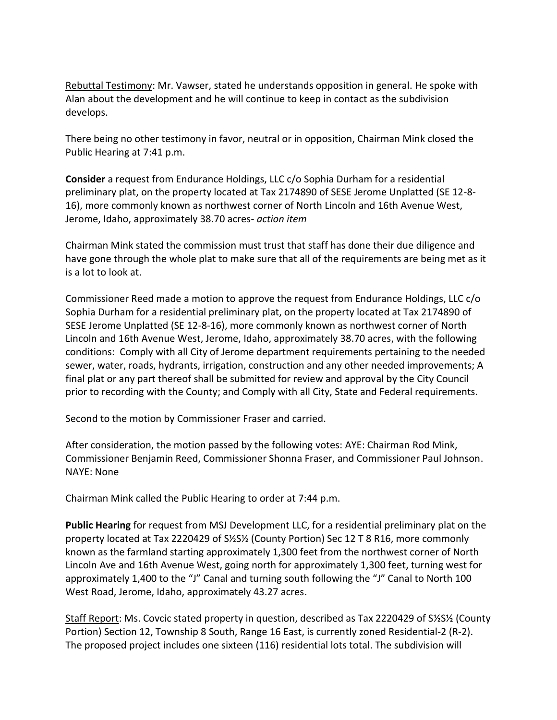Rebuttal Testimony: Mr. Vawser, stated he understands opposition in general. He spoke with Alan about the development and he will continue to keep in contact as the subdivision develops.

There being no other testimony in favor, neutral or in opposition, Chairman Mink closed the Public Hearing at 7:41 p.m.

**Consider** a request from Endurance Holdings, LLC c/o Sophia Durham for a residential preliminary plat, on the property located at Tax 2174890 of SESE Jerome Unplatted (SE 12-8- 16), more commonly known as northwest corner of North Lincoln and 16th Avenue West, Jerome, Idaho, approximately 38.70 acres- *action item*

Chairman Mink stated the commission must trust that staff has done their due diligence and have gone through the whole plat to make sure that all of the requirements are being met as it is a lot to look at.

Commissioner Reed made a motion to approve the request from Endurance Holdings, LLC c/o Sophia Durham for a residential preliminary plat, on the property located at Tax 2174890 of SESE Jerome Unplatted (SE 12-8-16), more commonly known as northwest corner of North Lincoln and 16th Avenue West, Jerome, Idaho, approximately 38.70 acres, with the following conditions: Comply with all City of Jerome department requirements pertaining to the needed sewer, water, roads, hydrants, irrigation, construction and any other needed improvements; A final plat or any part thereof shall be submitted for review and approval by the City Council prior to recording with the County; and Comply with all City, State and Federal requirements.

Second to the motion by Commissioner Fraser and carried.

After consideration, the motion passed by the following votes: AYE: Chairman Rod Mink, Commissioner Benjamin Reed, Commissioner Shonna Fraser, and Commissioner Paul Johnson. NAYE: None

Chairman Mink called the Public Hearing to order at 7:44 p.m.

**Public Hearing** for request from MSJ Development LLC, for a residential preliminary plat on the property located at Tax 2220429 of S½S½ (County Portion) Sec 12 T 8 R16, more commonly known as the farmland starting approximately 1,300 feet from the northwest corner of North Lincoln Ave and 16th Avenue West, going north for approximately 1,300 feet, turning west for approximately 1,400 to the "J" Canal and turning south following the "J" Canal to North 100 West Road, Jerome, Idaho, approximately 43.27 acres.

Staff Report: Ms. Covcic stated property in question, described as Tax 2220429 of S½S½ (County Portion) Section 12, Township 8 South, Range 16 East, is currently zoned Residential-2 (R-2). The proposed project includes one sixteen (116) residential lots total. The subdivision will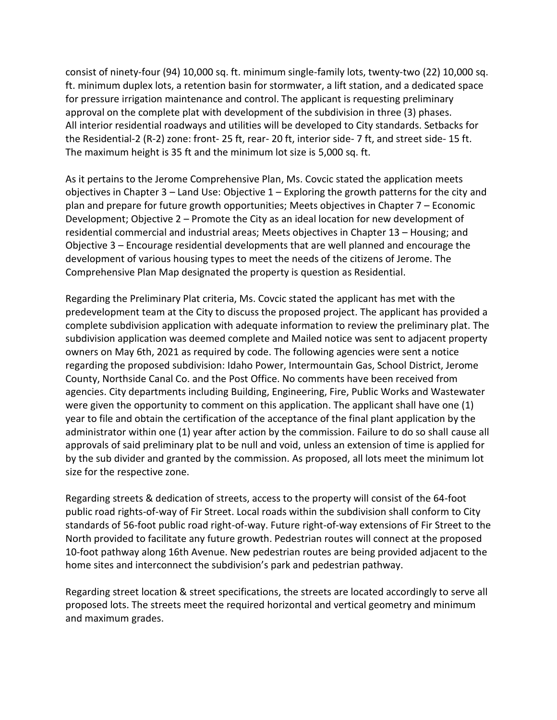consist of ninety-four (94) 10,000 sq. ft. minimum single-family lots, twenty-two (22) 10,000 sq. ft. minimum duplex lots, a retention basin for stormwater, a lift station, and a dedicated space for pressure irrigation maintenance and control. The applicant is requesting preliminary approval on the complete plat with development of the subdivision in three (3) phases. All interior residential roadways and utilities will be developed to City standards. Setbacks for the Residential-2 (R-2) zone: front- 25 ft, rear- 20 ft, interior side- 7 ft, and street side- 15 ft. The maximum height is 35 ft and the minimum lot size is 5,000 sq. ft.

As it pertains to the Jerome Comprehensive Plan, Ms. Covcic stated the application meets objectives in Chapter 3 – Land Use: Objective  $1$  – Exploring the growth patterns for the city and plan and prepare for future growth opportunities; Meets objectives in Chapter 7 – Economic Development; Objective 2 – Promote the City as an ideal location for new development of residential commercial and industrial areas; Meets objectives in Chapter 13 – Housing; and Objective 3 – Encourage residential developments that are well planned and encourage the development of various housing types to meet the needs of the citizens of Jerome. The Comprehensive Plan Map designated the property is question as Residential.

Regarding the Preliminary Plat criteria, Ms. Covcic stated the applicant has met with the predevelopment team at the City to discuss the proposed project. The applicant has provided a complete subdivision application with adequate information to review the preliminary plat. The subdivision application was deemed complete and Mailed notice was sent to adjacent property owners on May 6th, 2021 as required by code. The following agencies were sent a notice regarding the proposed subdivision: Idaho Power, Intermountain Gas, School District, Jerome County, Northside Canal Co. and the Post Office. No comments have been received from agencies. City departments including Building, Engineering, Fire, Public Works and Wastewater were given the opportunity to comment on this application. The applicant shall have one (1) year to file and obtain the certification of the acceptance of the final plant application by the administrator within one (1) year after action by the commission. Failure to do so shall cause all approvals of said preliminary plat to be null and void, unless an extension of time is applied for by the sub divider and granted by the commission. As proposed, all lots meet the minimum lot size for the respective zone.

Regarding streets & dedication of streets, access to the property will consist of the 64-foot public road rights-of-way of Fir Street. Local roads within the subdivision shall conform to City standards of 56-foot public road right-of-way. Future right-of-way extensions of Fir Street to the North provided to facilitate any future growth. Pedestrian routes will connect at the proposed 10-foot pathway along 16th Avenue. New pedestrian routes are being provided adjacent to the home sites and interconnect the subdivision's park and pedestrian pathway.

Regarding street location & street specifications, the streets are located accordingly to serve all proposed lots. The streets meet the required horizontal and vertical geometry and minimum and maximum grades.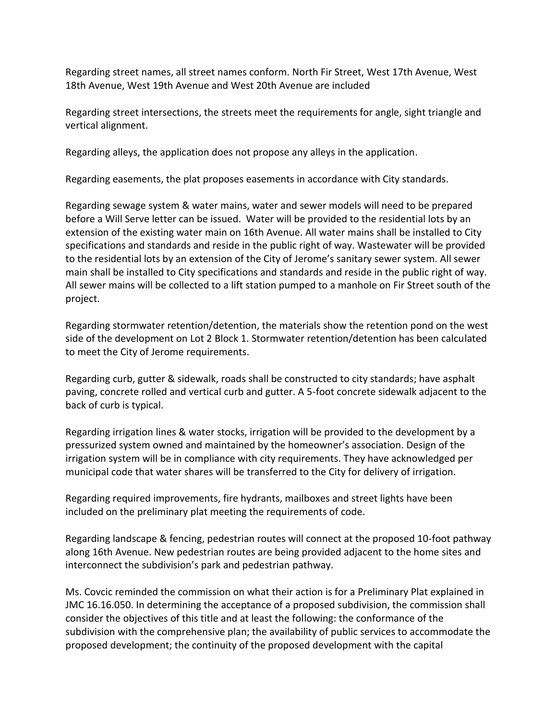Regarding street names, all street names conform. North Fir Street, West 17th Avenue, West 18th Avenue, West 19th Avenue and West 20th Avenue are included

Regarding street intersections, the streets meet the requirements for angle, sight triangle and vertical alignment.

Regarding alleys, the application does not propose any alleys in the application.

Regarding easements, the plat proposes easements in accordance with City standards.

Regarding sewage system & water mains, water and sewer models will need to be prepared before a Will Serve letter can be issued. Water will be provided to the residential lots by an extension of the existing water main on 16th Avenue. All water mains shall be installed to City specifications and standards and reside in the public right of way. Wastewater will be provided to the residential lots by an extension of the City of Jerome's sanitary sewer system. All sewer main shall be installed to City specifications and standards and reside in the public right of way. All sewer mains will be collected to a lift station pumped to a manhole on Fir Street south of the project.

Regarding stormwater retention/detention, the materials show the retention pond on the west side of the development on Lot 2 Block 1. Stormwater retention/detention has been calculated to meet the City of Jerome requirements.

Regarding curb, gutter & sidewalk, roads shall be constructed to city standards; have asphalt paving, concrete rolled and vertical curb and gutter. A 5-foot concrete sidewalk adjacent to the back of curb is typical.

Regarding irrigation lines & water stocks, irrigation will be provided to the development by a pressurized system owned and maintained by the homeowner's association. Design of the irrigation system will be in compliance with city requirements. They have acknowledged per municipal code that water shares will be transferred to the City for delivery of irrigation.

Regarding required improvements, fire hydrants, mailboxes and street lights have been included on the preliminary plat meeting the requirements of code.

Regarding landscape & fencing, pedestrian routes will connect at the proposed 10-foot pathway along 16th Avenue. New pedestrian routes are being provided adjacent to the home sites and interconnect the subdivision's park and pedestrian pathway.

Ms. Covcic reminded the commission on what their action is for a Preliminary Plat explained in JMC 16.16.050. In determining the acceptance of a proposed subdivision, the commission shall consider the objectives of this title and at least the following: the conformance of the subdivision with the comprehensive plan; the availability of public services to accommodate the proposed development; the continuity of the proposed development with the capital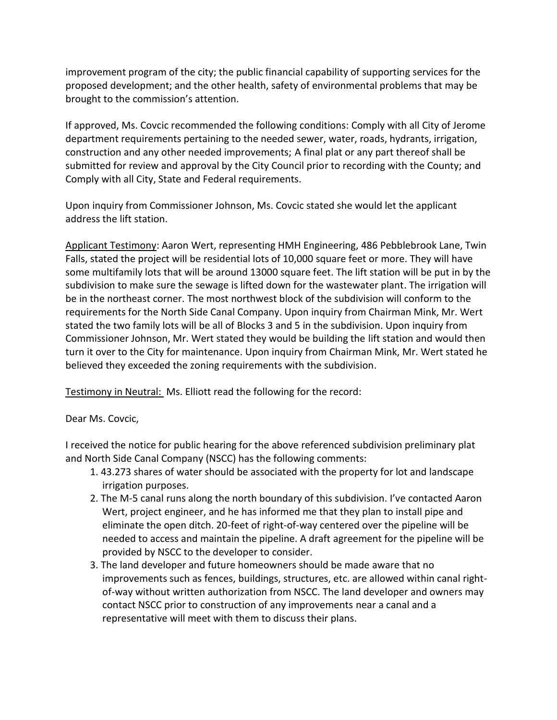improvement program of the city; the public financial capability of supporting services for the proposed development; and the other health, safety of environmental problems that may be brought to the commission's attention.

If approved, Ms. Covcic recommended the following conditions: Comply with all City of Jerome department requirements pertaining to the needed sewer, water, roads, hydrants, irrigation, construction and any other needed improvements; A final plat or any part thereof shall be submitted for review and approval by the City Council prior to recording with the County; and Comply with all City, State and Federal requirements.

Upon inquiry from Commissioner Johnson, Ms. Covcic stated she would let the applicant address the lift station.

Applicant Testimony: Aaron Wert, representing HMH Engineering, 486 Pebblebrook Lane, Twin Falls, stated the project will be residential lots of 10,000 square feet or more. They will have some multifamily lots that will be around 13000 square feet. The lift station will be put in by the subdivision to make sure the sewage is lifted down for the wastewater plant. The irrigation will be in the northeast corner. The most northwest block of the subdivision will conform to the requirements for the North Side Canal Company. Upon inquiry from Chairman Mink, Mr. Wert stated the two family lots will be all of Blocks 3 and 5 in the subdivision. Upon inquiry from Commissioner Johnson, Mr. Wert stated they would be building the lift station and would then turn it over to the City for maintenance. Upon inquiry from Chairman Mink, Mr. Wert stated he believed they exceeded the zoning requirements with the subdivision.

Testimony in Neutral: Ms. Elliott read the following for the record:

#### Dear Ms. Covcic,

I received the notice for public hearing for the above referenced subdivision preliminary plat and North Side Canal Company (NSCC) has the following comments:

- 1. 43.273 shares of water should be associated with the property for lot and landscape irrigation purposes.
- 2. The M-5 canal runs along the north boundary of this subdivision. I've contacted Aaron Wert, project engineer, and he has informed me that they plan to install pipe and eliminate the open ditch. 20-feet of right-of-way centered over the pipeline will be needed to access and maintain the pipeline. A draft agreement for the pipeline will be provided by NSCC to the developer to consider.
- 3. The land developer and future homeowners should be made aware that no improvements such as fences, buildings, structures, etc. are allowed within canal rightof-way without written authorization from NSCC. The land developer and owners may contact NSCC prior to construction of any improvements near a canal and a representative will meet with them to discuss their plans.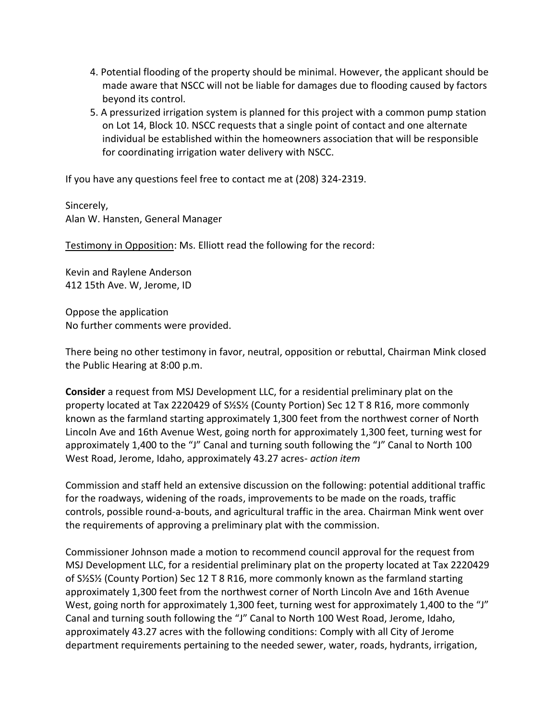- 4. Potential flooding of the property should be minimal. However, the applicant should be made aware that NSCC will not be liable for damages due to flooding caused by factors beyond its control.
- 5. A pressurized irrigation system is planned for this project with a common pump station on Lot 14, Block 10. NSCC requests that a single point of contact and one alternate individual be established within the homeowners association that will be responsible for coordinating irrigation water delivery with NSCC.

If you have any questions feel free to contact me at (208) 324-2319.

Sincerely, Alan W. Hansten, General Manager

Testimony in Opposition: Ms. Elliott read the following for the record:

Kevin and Raylene Anderson 412 15th Ave. W, Jerome, ID

Oppose the application No further comments were provided.

There being no other testimony in favor, neutral, opposition or rebuttal, Chairman Mink closed the Public Hearing at 8:00 p.m.

**Consider** a request from MSJ Development LLC, for a residential preliminary plat on the property located at Tax 2220429 of S½S½ (County Portion) Sec 12 T 8 R16, more commonly known as the farmland starting approximately 1,300 feet from the northwest corner of North Lincoln Ave and 16th Avenue West, going north for approximately 1,300 feet, turning west for approximately 1,400 to the "J" Canal and turning south following the "J" Canal to North 100 West Road, Jerome, Idaho, approximately 43.27 acres- *action item*

Commission and staff held an extensive discussion on the following: potential additional traffic for the roadways, widening of the roads, improvements to be made on the roads, traffic controls, possible round-a-bouts, and agricultural traffic in the area. Chairman Mink went over the requirements of approving a preliminary plat with the commission.

Commissioner Johnson made a motion to recommend council approval for the request from MSJ Development LLC, for a residential preliminary plat on the property located at Tax 2220429 of S½S½ (County Portion) Sec 12 T 8 R16, more commonly known as the farmland starting approximately 1,300 feet from the northwest corner of North Lincoln Ave and 16th Avenue West, going north for approximately 1,300 feet, turning west for approximately 1,400 to the "J" Canal and turning south following the "J" Canal to North 100 West Road, Jerome, Idaho, approximately 43.27 acres with the following conditions: Comply with all City of Jerome department requirements pertaining to the needed sewer, water, roads, hydrants, irrigation,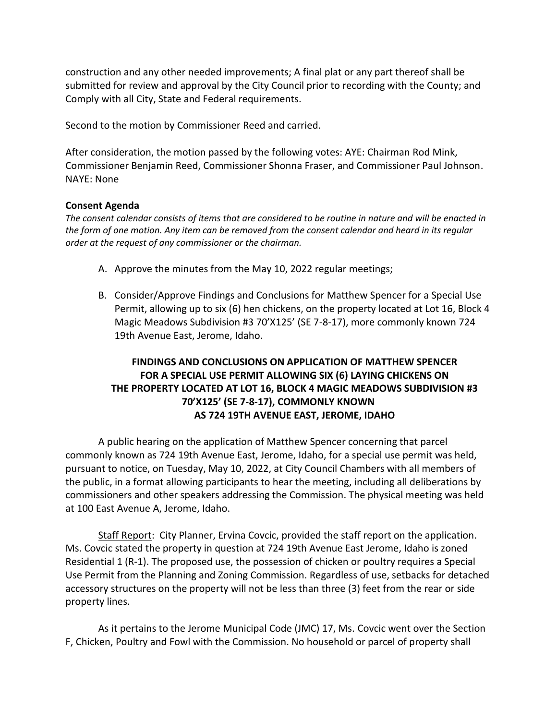construction and any other needed improvements; A final plat or any part thereof shall be submitted for review and approval by the City Council prior to recording with the County; and Comply with all City, State and Federal requirements.

Second to the motion by Commissioner Reed and carried.

After consideration, the motion passed by the following votes: AYE: Chairman Rod Mink, Commissioner Benjamin Reed, Commissioner Shonna Fraser, and Commissioner Paul Johnson. NAYE: None

#### **Consent Agenda**

*The consent calendar consists of items that are considered to be routine in nature and will be enacted in the form of one motion. Any item can be removed from the consent calendar and heard in its regular order at the request of any commissioner or the chairman.* 

- A. Approve the minutes from the May 10, 2022 regular meetings;
- B. Consider/Approve Findings and Conclusions for Matthew Spencer for a Special Use Permit, allowing up to six (6) hen chickens, on the property located at Lot 16, Block 4 Magic Meadows Subdivision #3 70'X125' (SE 7-8-17), more commonly known 724 19th Avenue East, Jerome, Idaho.

### **FINDINGS AND CONCLUSIONS ON APPLICATION OF MATTHEW SPENCER FOR A SPECIAL USE PERMIT ALLOWING SIX (6) LAYING CHICKENS ON THE PROPERTY LOCATED AT LOT 16, BLOCK 4 MAGIC MEADOWS SUBDIVISION #3 70'X125' (SE 7-8-17), COMMONLY KNOWN AS 724 19TH AVENUE EAST, JEROME, IDAHO**

A public hearing on the application of Matthew Spencer concerning that parcel commonly known as 724 19th Avenue East, Jerome, Idaho, for a special use permit was held, pursuant to notice, on Tuesday, May 10, 2022, at City Council Chambers with all members of the public, in a format allowing participants to hear the meeting, including all deliberations by commissioners and other speakers addressing the Commission. The physical meeting was held at 100 East Avenue A, Jerome, Idaho.

Staff Report: City Planner, Ervina Covcic, provided the staff report on the application. Ms. Covcic stated the property in question at 724 19th Avenue East Jerome, Idaho is zoned Residential 1 (R-1). The proposed use, the possession of chicken or poultry requires a Special Use Permit from the Planning and Zoning Commission. Regardless of use, setbacks for detached accessory structures on the property will not be less than three (3) feet from the rear or side property lines.

As it pertains to the Jerome Municipal Code (JMC) 17, Ms. Covcic went over the Section F, Chicken, Poultry and Fowl with the Commission. No household or parcel of property shall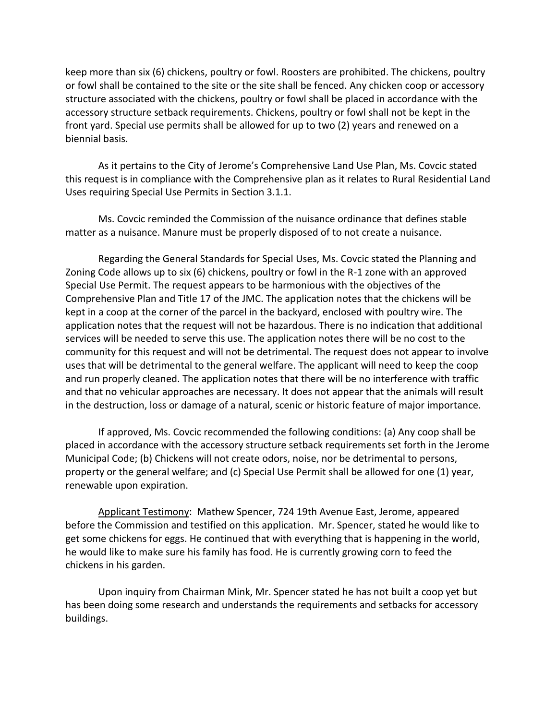keep more than six (6) chickens, poultry or fowl. Roosters are prohibited. The chickens, poultry or fowl shall be contained to the site or the site shall be fenced. Any chicken coop or accessory structure associated with the chickens, poultry or fowl shall be placed in accordance with the accessory structure setback requirements. Chickens, poultry or fowl shall not be kept in the front yard. Special use permits shall be allowed for up to two (2) years and renewed on a biennial basis.

As it pertains to the City of Jerome's Comprehensive Land Use Plan, Ms. Covcic stated this request is in compliance with the Comprehensive plan as it relates to Rural Residential Land Uses requiring Special Use Permits in Section 3.1.1.

Ms. Covcic reminded the Commission of the nuisance ordinance that defines stable matter as a nuisance. Manure must be properly disposed of to not create a nuisance.

Regarding the General Standards for Special Uses, Ms. Covcic stated the Planning and Zoning Code allows up to six (6) chickens, poultry or fowl in the R-1 zone with an approved Special Use Permit. The request appears to be harmonious with the objectives of the Comprehensive Plan and Title 17 of the JMC. The application notes that the chickens will be kept in a coop at the corner of the parcel in the backyard, enclosed with poultry wire. The application notes that the request will not be hazardous. There is no indication that additional services will be needed to serve this use. The application notes there will be no cost to the community for this request and will not be detrimental. The request does not appear to involve uses that will be detrimental to the general welfare. The applicant will need to keep the coop and run properly cleaned. The application notes that there will be no interference with traffic and that no vehicular approaches are necessary. It does not appear that the animals will result in the destruction, loss or damage of a natural, scenic or historic feature of major importance.

If approved, Ms. Covcic recommended the following conditions: (a) Any coop shall be placed in accordance with the accessory structure setback requirements set forth in the Jerome Municipal Code; (b) Chickens will not create odors, noise, nor be detrimental to persons, property or the general welfare; and (c) Special Use Permit shall be allowed for one (1) year, renewable upon expiration.

Applicant Testimony: Mathew Spencer, 724 19th Avenue East, Jerome, appeared before the Commission and testified on this application. Mr. Spencer, stated he would like to get some chickens for eggs. He continued that with everything that is happening in the world, he would like to make sure his family has food. He is currently growing corn to feed the chickens in his garden.

Upon inquiry from Chairman Mink, Mr. Spencer stated he has not built a coop yet but has been doing some research and understands the requirements and setbacks for accessory buildings.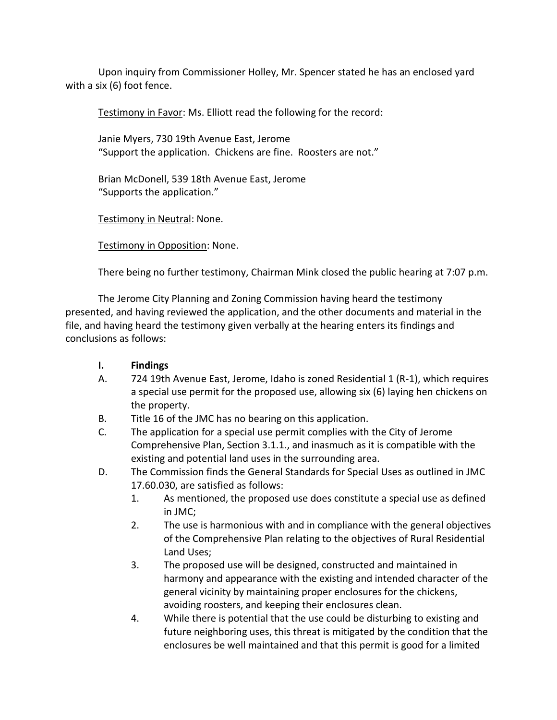Upon inquiry from Commissioner Holley, Mr. Spencer stated he has an enclosed yard with a six (6) foot fence.

Testimony in Favor: Ms. Elliott read the following for the record:

Janie Myers, 730 19th Avenue East, Jerome "Support the application. Chickens are fine. Roosters are not."

Brian McDonell, 539 18th Avenue East, Jerome "Supports the application."

Testimony in Neutral: None.

Testimony in Opposition: None.

There being no further testimony, Chairman Mink closed the public hearing at 7:07 p.m.

The Jerome City Planning and Zoning Commission having heard the testimony presented, and having reviewed the application, and the other documents and material in the file, and having heard the testimony given verbally at the hearing enters its findings and conclusions as follows:

### **I. Findings**

- A. 724 19th Avenue East, Jerome, Idaho is zoned Residential 1 (R-1), which requires a special use permit for the proposed use, allowing six (6) laying hen chickens on the property.
- B. Title 16 of the JMC has no bearing on this application.
- C. The application for a special use permit complies with the City of Jerome Comprehensive Plan, Section 3.1.1., and inasmuch as it is compatible with the existing and potential land uses in the surrounding area.
- D. The Commission finds the General Standards for Special Uses as outlined in JMC 17.60.030, are satisfied as follows:
	- 1. As mentioned, the proposed use does constitute a special use as defined in JMC;
	- 2. The use is harmonious with and in compliance with the general objectives of the Comprehensive Plan relating to the objectives of Rural Residential Land Uses;
	- 3. The proposed use will be designed, constructed and maintained in harmony and appearance with the existing and intended character of the general vicinity by maintaining proper enclosures for the chickens, avoiding roosters, and keeping their enclosures clean.
	- 4. While there is potential that the use could be disturbing to existing and future neighboring uses, this threat is mitigated by the condition that the enclosures be well maintained and that this permit is good for a limited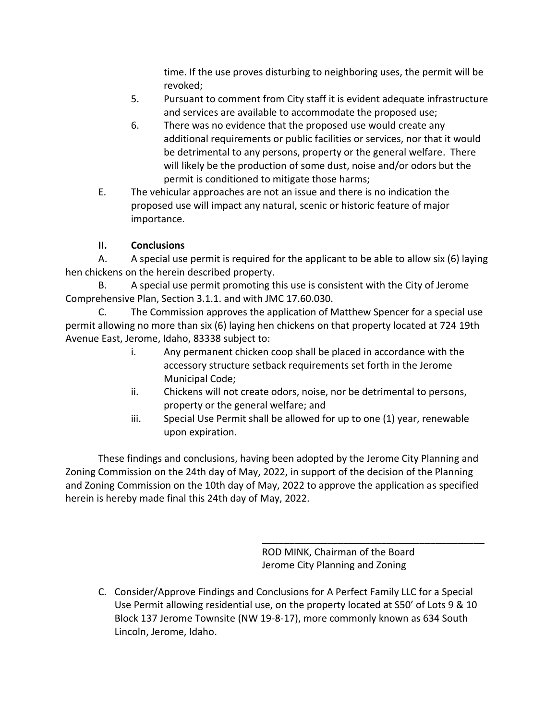time. If the use proves disturbing to neighboring uses, the permit will be revoked;

- 5. Pursuant to comment from City staff it is evident adequate infrastructure and services are available to accommodate the proposed use;
- 6. There was no evidence that the proposed use would create any additional requirements or public facilities or services, nor that it would be detrimental to any persons, property or the general welfare. There will likely be the production of some dust, noise and/or odors but the permit is conditioned to mitigate those harms;
- E. The vehicular approaches are not an issue and there is no indication the proposed use will impact any natural, scenic or historic feature of major importance.

# **II. Conclusions**

A. A special use permit is required for the applicant to be able to allow six (6) laying hen chickens on the herein described property.

B. A special use permit promoting this use is consistent with the City of Jerome Comprehensive Plan, Section 3.1.1. and with JMC 17.60.030.

C. The Commission approves the application of Matthew Spencer for a special use permit allowing no more than six (6) laying hen chickens on that property located at 724 19th Avenue East, Jerome, Idaho, 83338 subject to:

- i. Any permanent chicken coop shall be placed in accordance with the accessory structure setback requirements set forth in the Jerome Municipal Code;
- ii. Chickens will not create odors, noise, nor be detrimental to persons, property or the general welfare; and
- iii. Special Use Permit shall be allowed for up to one (1) year, renewable upon expiration.

These findings and conclusions, having been adopted by the Jerome City Planning and Zoning Commission on the 24th day of May, 2022, in support of the decision of the Planning and Zoning Commission on the 10th day of May, 2022 to approve the application as specified herein is hereby made final this 24th day of May, 2022.

> ROD MINK, Chairman of the Board Jerome City Planning and Zoning

\_\_\_\_\_\_\_\_\_\_\_\_\_\_\_\_\_\_\_\_\_\_\_\_\_\_\_\_\_\_\_\_\_\_\_\_\_\_\_\_\_

C. Consider/Approve Findings and Conclusions for A Perfect Family LLC for a Special Use Permit allowing residential use, on the property located at S50' of Lots 9 & 10 Block 137 Jerome Townsite (NW 19-8-17), more commonly known as 634 South Lincoln, Jerome, Idaho.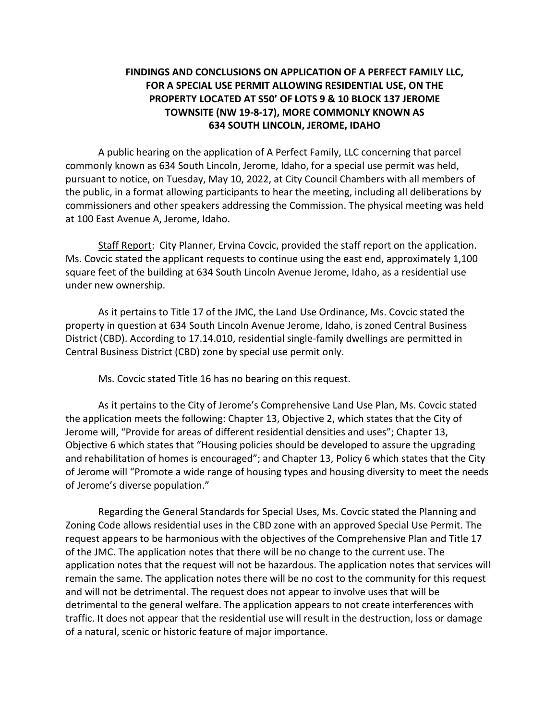### **FINDINGS AND CONCLUSIONS ON APPLICATION OF A PERFECT FAMILY LLC, FOR A SPECIAL USE PERMIT ALLOWING RESIDENTIAL USE, ON THE PROPERTY LOCATED AT S50' OF LOTS 9 & 10 BLOCK 137 JEROME TOWNSITE (NW 19-8-17), MORE COMMONLY KNOWN AS 634 SOUTH LINCOLN, JEROME, IDAHO**

A public hearing on the application of A Perfect Family, LLC concerning that parcel commonly known as 634 South Lincoln, Jerome, Idaho, for a special use permit was held, pursuant to notice, on Tuesday, May 10, 2022, at City Council Chambers with all members of the public, in a format allowing participants to hear the meeting, including all deliberations by commissioners and other speakers addressing the Commission. The physical meeting was held at 100 East Avenue A, Jerome, Idaho.

Staff Report: City Planner, Ervina Covcic, provided the staff report on the application. Ms. Covcic stated the applicant requests to continue using the east end, approximately 1,100 square feet of the building at 634 South Lincoln Avenue Jerome, Idaho, as a residential use under new ownership.

As it pertains to Title 17 of the JMC, the Land Use Ordinance, Ms. Covcic stated the property in question at 634 South Lincoln Avenue Jerome, Idaho, is zoned Central Business District (CBD). According to 17.14.010, residential single-family dwellings are permitted in Central Business District (CBD) zone by special use permit only.

Ms. Covcic stated Title 16 has no bearing on this request.

As it pertains to the City of Jerome's Comprehensive Land Use Plan, Ms. Covcic stated the application meets the following: Chapter 13, Objective 2, which states that the City of Jerome will, "Provide for areas of different residential densities and uses"; Chapter 13, Objective 6 which states that "Housing policies should be developed to assure the upgrading and rehabilitation of homes is encouraged"; and Chapter 13, Policy 6 which states that the City of Jerome will "Promote a wide range of housing types and housing diversity to meet the needs of Jerome's diverse population."

Regarding the General Standards for Special Uses, Ms. Covcic stated the Planning and Zoning Code allows residential uses in the CBD zone with an approved Special Use Permit. The request appears to be harmonious with the objectives of the Comprehensive Plan and Title 17 of the JMC. The application notes that there will be no change to the current use. The application notes that the request will not be hazardous. The application notes that services will remain the same. The application notes there will be no cost to the community for this request and will not be detrimental. The request does not appear to involve uses that will be detrimental to the general welfare. The application appears to not create interferences with traffic. It does not appear that the residential use will result in the destruction, loss or damage of a natural, scenic or historic feature of major importance.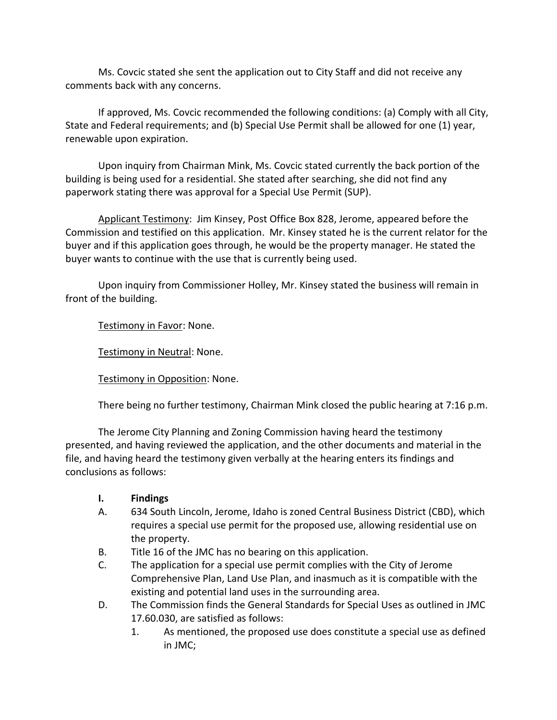Ms. Covcic stated she sent the application out to City Staff and did not receive any comments back with any concerns.

If approved, Ms. Covcic recommended the following conditions: (a) Comply with all City, State and Federal requirements; and (b) Special Use Permit shall be allowed for one (1) year, renewable upon expiration.

Upon inquiry from Chairman Mink, Ms. Covcic stated currently the back portion of the building is being used for a residential. She stated after searching, she did not find any paperwork stating there was approval for a Special Use Permit (SUP).

Applicant Testimony: Jim Kinsey, Post Office Box 828, Jerome, appeared before the Commission and testified on this application. Mr. Kinsey stated he is the current relator for the buyer and if this application goes through, he would be the property manager. He stated the buyer wants to continue with the use that is currently being used.

Upon inquiry from Commissioner Holley, Mr. Kinsey stated the business will remain in front of the building.

Testimony in Favor: None.

Testimony in Neutral: None.

Testimony in Opposition: None.

There being no further testimony, Chairman Mink closed the public hearing at 7:16 p.m.

The Jerome City Planning and Zoning Commission having heard the testimony presented, and having reviewed the application, and the other documents and material in the file, and having heard the testimony given verbally at the hearing enters its findings and conclusions as follows:

- **I. Findings**
- A. 634 South Lincoln, Jerome, Idaho is zoned Central Business District (CBD), which requires a special use permit for the proposed use, allowing residential use on the property.
- B. Title 16 of the JMC has no bearing on this application.
- C. The application for a special use permit complies with the City of Jerome Comprehensive Plan, Land Use Plan, and inasmuch as it is compatible with the existing and potential land uses in the surrounding area.
- D. The Commission finds the General Standards for Special Uses as outlined in JMC 17.60.030, are satisfied as follows:
	- 1. As mentioned, the proposed use does constitute a special use as defined in JMC;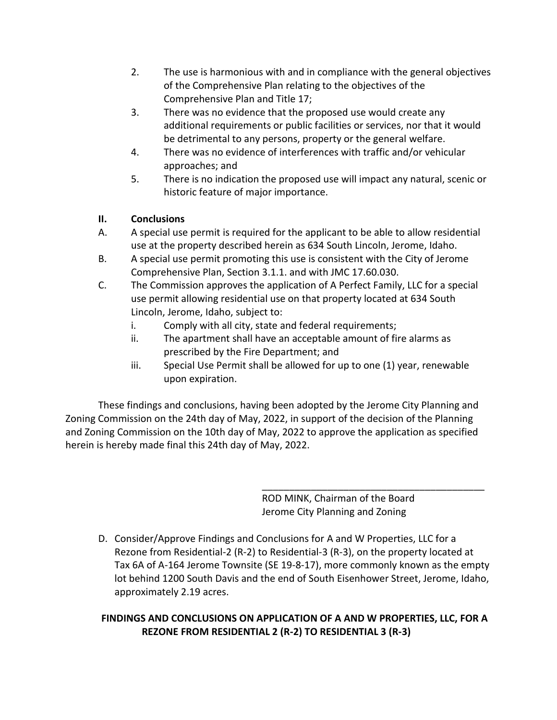- 2. The use is harmonious with and in compliance with the general objectives of the Comprehensive Plan relating to the objectives of the Comprehensive Plan and Title 17;
- 3. There was no evidence that the proposed use would create any additional requirements or public facilities or services, nor that it would be detrimental to any persons, property or the general welfare.
- 4. There was no evidence of interferences with traffic and/or vehicular approaches; and
- 5. There is no indication the proposed use will impact any natural, scenic or historic feature of major importance.

## **II. Conclusions**

- A. A special use permit is required for the applicant to be able to allow residential use at the property described herein as 634 South Lincoln, Jerome, Idaho.
- B. A special use permit promoting this use is consistent with the City of Jerome Comprehensive Plan, Section 3.1.1. and with JMC 17.60.030.
- C. The Commission approves the application of A Perfect Family, LLC for a special use permit allowing residential use on that property located at 634 South Lincoln, Jerome, Idaho, subject to:
	- i. Comply with all city, state and federal requirements;
	- ii. The apartment shall have an acceptable amount of fire alarms as prescribed by the Fire Department; and
	- iii. Special Use Permit shall be allowed for up to one (1) year, renewable upon expiration.

These findings and conclusions, having been adopted by the Jerome City Planning and Zoning Commission on the 24th day of May, 2022, in support of the decision of the Planning and Zoning Commission on the 10th day of May, 2022 to approve the application as specified herein is hereby made final this 24th day of May, 2022.

> ROD MINK, Chairman of the Board Jerome City Planning and Zoning

\_\_\_\_\_\_\_\_\_\_\_\_\_\_\_\_\_\_\_\_\_\_\_\_\_\_\_\_\_\_\_\_\_\_\_\_\_\_\_\_\_

D. Consider/Approve Findings and Conclusions for A and W Properties, LLC for a Rezone from Residential-2 (R-2) to Residential-3 (R-3), on the property located at Tax 6A of A-164 Jerome Townsite (SE 19-8-17), more commonly known as the empty lot behind 1200 South Davis and the end of South Eisenhower Street, Jerome, Idaho, approximately 2.19 acres.

# **FINDINGS AND CONCLUSIONS ON APPLICATION OF A AND W PROPERTIES, LLC, FOR A REZONE FROM RESIDENTIAL 2 (R-2) TO RESIDENTIAL 3 (R-3)**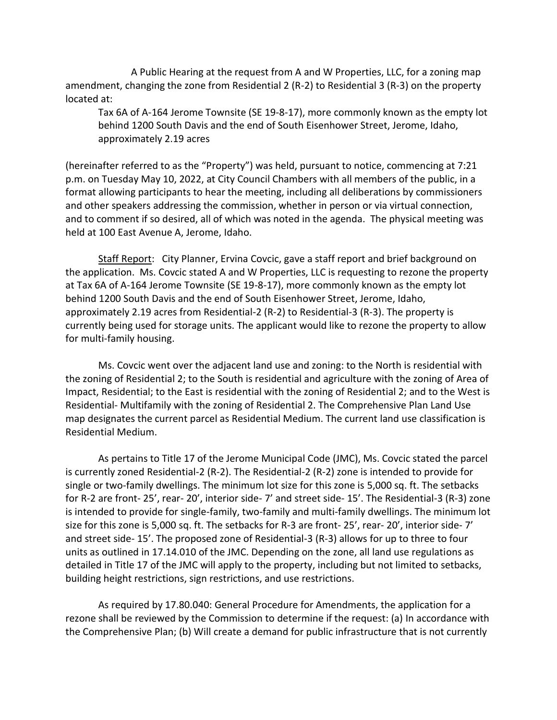A Public Hearing at the request from A and W Properties, LLC, for a zoning map amendment, changing the zone from Residential 2 (R-2) to Residential 3 (R-3) on the property located at:

Tax 6A of A-164 Jerome Townsite (SE 19-8-17), more commonly known as the empty lot behind 1200 South Davis and the end of South Eisenhower Street, Jerome, Idaho, approximately 2.19 acres

(hereinafter referred to as the "Property") was held, pursuant to notice, commencing at 7:21 p.m. on Tuesday May 10, 2022, at City Council Chambers with all members of the public, in a format allowing participants to hear the meeting, including all deliberations by commissioners and other speakers addressing the commission, whether in person or via virtual connection, and to comment if so desired, all of which was noted in the agenda. The physical meeting was held at 100 East Avenue A, Jerome, Idaho.

Staff Report: City Planner, Ervina Covcic, gave a staff report and brief background on the application. Ms. Covcic stated A and W Properties, LLC is requesting to rezone the property at Tax 6A of A-164 Jerome Townsite (SE 19-8-17), more commonly known as the empty lot behind 1200 South Davis and the end of South Eisenhower Street, Jerome, Idaho, approximately 2.19 acres from Residential-2 (R-2) to Residential-3 (R-3). The property is currently being used for storage units. The applicant would like to rezone the property to allow for multi-family housing.

Ms. Covcic went over the adjacent land use and zoning: to the North is residential with the zoning of Residential 2; to the South is residential and agriculture with the zoning of Area of Impact, Residential; to the East is residential with the zoning of Residential 2; and to the West is Residential- Multifamily with the zoning of Residential 2. The Comprehensive Plan Land Use map designates the current parcel as Residential Medium. The current land use classification is Residential Medium.

As pertains to Title 17 of the Jerome Municipal Code (JMC), Ms. Covcic stated the parcel is currently zoned Residential-2 (R-2). The Residential-2 (R-2) zone is intended to provide for single or two-family dwellings. The minimum lot size for this zone is 5,000 sq. ft. The setbacks for R-2 are front- 25', rear- 20', interior side- 7' and street side- 15'. The Residential-3 (R-3) zone is intended to provide for single-family, two-family and multi-family dwellings. The minimum lot size for this zone is 5,000 sq. ft. The setbacks for R-3 are front- 25', rear- 20', interior side- 7' and street side- 15'. The proposed zone of Residential-3 (R-3) allows for up to three to four units as outlined in 17.14.010 of the JMC. Depending on the zone, all land use regulations as detailed in Title 17 of the JMC will apply to the property, including but not limited to setbacks, building height restrictions, sign restrictions, and use restrictions.

As required by 17.80.040: General Procedure for Amendments, the application for a rezone shall be reviewed by the Commission to determine if the request: (a) In accordance with the Comprehensive Plan; (b) Will create a demand for public infrastructure that is not currently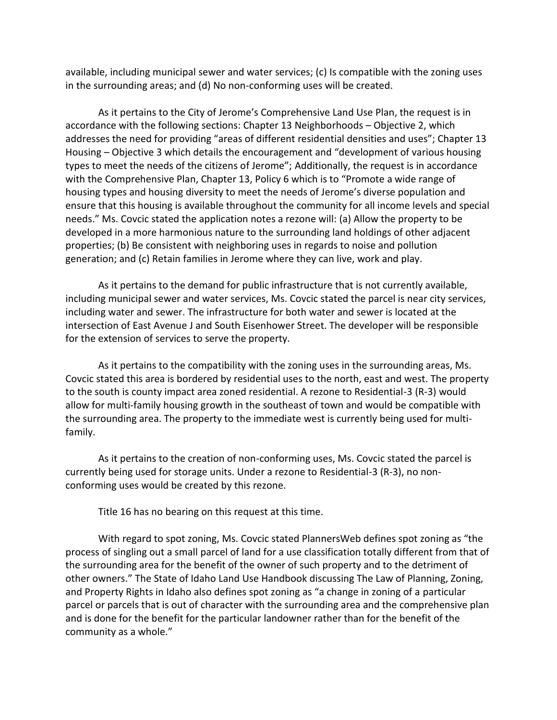available, including municipal sewer and water services; (c) Is compatible with the zoning uses in the surrounding areas; and (d) No non-conforming uses will be created.

As it pertains to the City of Jerome's Comprehensive Land Use Plan, the request is in accordance with the following sections: Chapter 13 Neighborhoods – Objective 2, which addresses the need for providing "areas of different residential densities and uses"; Chapter 13 Housing – Objective 3 which details the encouragement and "development of various housing types to meet the needs of the citizens of Jerome"; Additionally, the request is in accordance with the Comprehensive Plan, Chapter 13, Policy 6 which is to "Promote a wide range of housing types and housing diversity to meet the needs of Jerome's diverse population and ensure that this housing is available throughout the community for all income levels and special needs." Ms. Covcic stated the application notes a rezone will: (a) Allow the property to be developed in a more harmonious nature to the surrounding land holdings of other adjacent properties; (b) Be consistent with neighboring uses in regards to noise and pollution generation; and (c) Retain families in Jerome where they can live, work and play.

As it pertains to the demand for public infrastructure that is not currently available, including municipal sewer and water services, Ms. Covcic stated the parcel is near city services, including water and sewer. The infrastructure for both water and sewer is located at the intersection of East Avenue J and South Eisenhower Street. The developer will be responsible for the extension of services to serve the property.

As it pertains to the compatibility with the zoning uses in the surrounding areas, Ms. Covcic stated this area is bordered by residential uses to the north, east and west. The property to the south is county impact area zoned residential. A rezone to Residential-3 (R-3) would allow for multi-family housing growth in the southeast of town and would be compatible with the surrounding area. The property to the immediate west is currently being used for multifamily.

As it pertains to the creation of non-conforming uses, Ms. Covcic stated the parcel is currently being used for storage units. Under a rezone to Residential-3 (R-3), no nonconforming uses would be created by this rezone.

Title 16 has no bearing on this request at this time.

With regard to spot zoning, Ms. Covcic stated PlannersWeb defines spot zoning as "the process of singling out a small parcel of land for a use classification totally different from that of the surrounding area for the benefit of the owner of such property and to the detriment of other owners." The State of Idaho Land Use Handbook discussing The Law of Planning, Zoning, and Property Rights in Idaho also defines spot zoning as "a change in zoning of a particular parcel or parcels that is out of character with the surrounding area and the comprehensive plan and is done for the benefit for the particular landowner rather than for the benefit of the community as a whole."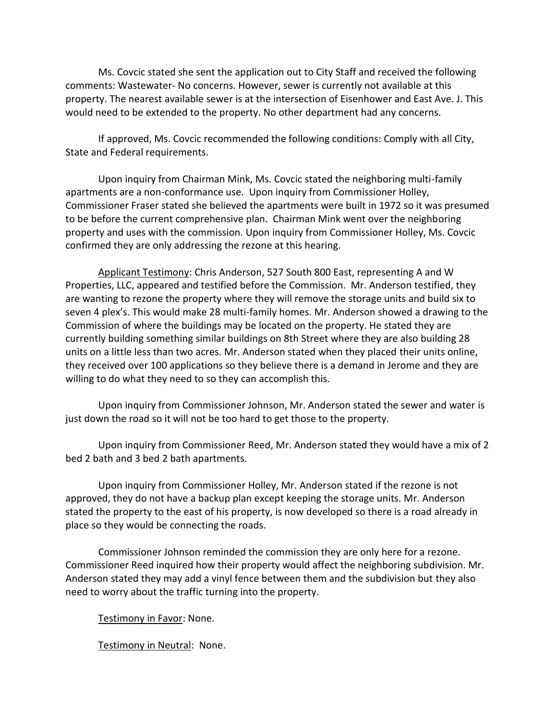Ms. Covcic stated she sent the application out to City Staff and received the following comments: Wastewater- No concerns. However, sewer is currently not available at this property. The nearest available sewer is at the intersection of Eisenhower and East Ave. J. This would need to be extended to the property. No other department had any concerns.

If approved, Ms. Covcic recommended the following conditions: Comply with all City, State and Federal requirements.

Upon inquiry from Chairman Mink, Ms. Covcic stated the neighboring multi-family apartments are a non-conformance use. Upon inquiry from Commissioner Holley, Commissioner Fraser stated she believed the apartments were built in 1972 so it was presumed to be before the current comprehensive plan. Chairman Mink went over the neighboring property and uses with the commission. Upon inquiry from Commissioner Holley, Ms. Covcic confirmed they are only addressing the rezone at this hearing.

Applicant Testimony: Chris Anderson, 527 South 800 East, representing A and W Properties, LLC, appeared and testified before the Commission. Mr. Anderson testified, they are wanting to rezone the property where they will remove the storage units and build six to seven 4 plex's. This would make 28 multi-family homes. Mr. Anderson showed a drawing to the Commission of where the buildings may be located on the property. He stated they are currently building something similar buildings on 8th Street where they are also building 28 units on a little less than two acres. Mr. Anderson stated when they placed their units online, they received over 100 applications so they believe there is a demand in Jerome and they are willing to do what they need to so they can accomplish this.

Upon inquiry from Commissioner Johnson, Mr. Anderson stated the sewer and water is just down the road so it will not be too hard to get those to the property.

Upon inquiry from Commissioner Reed, Mr. Anderson stated they would have a mix of 2 bed 2 bath and 3 bed 2 bath apartments.

Upon inquiry from Commissioner Holley, Mr. Anderson stated if the rezone is not approved, they do not have a backup plan except keeping the storage units. Mr. Anderson stated the property to the east of his property, is now developed so there is a road already in place so they would be connecting the roads.

Commissioner Johnson reminded the commission they are only here for a rezone. Commissioner Reed inquired how their property would affect the neighboring subdivision. Mr. Anderson stated they may add a vinyl fence between them and the subdivision but they also need to worry about the traffic turning into the property.

Testimony in Favor: None.

Testimony in Neutral: None.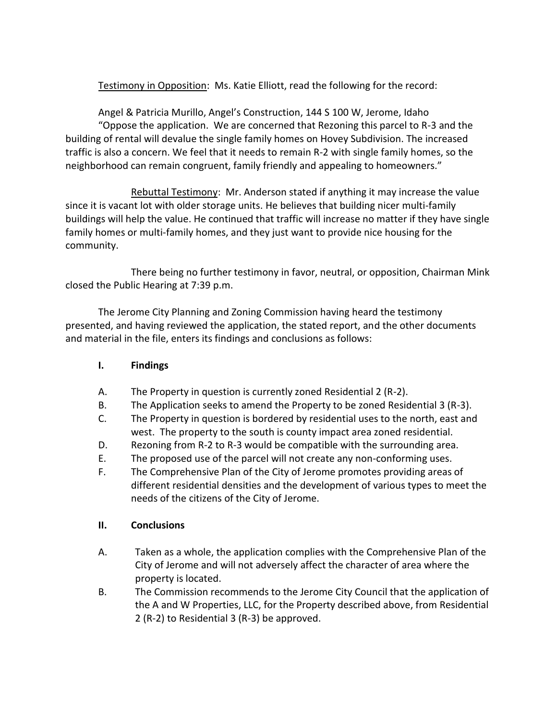Testimony in Opposition: Ms. Katie Elliott, read the following for the record:

Angel & Patricia Murillo, Angel's Construction, 144 S 100 W, Jerome, Idaho "Oppose the application. We are concerned that Rezoning this parcel to R-3 and the building of rental will devalue the single family homes on Hovey Subdivision. The increased traffic is also a concern. We feel that it needs to remain R-2 with single family homes, so the neighborhood can remain congruent, family friendly and appealing to homeowners."

Rebuttal Testimony: Mr. Anderson stated if anything it may increase the value since it is vacant lot with older storage units. He believes that building nicer multi-family buildings will help the value. He continued that traffic will increase no matter if they have single family homes or multi-family homes, and they just want to provide nice housing for the community.

There being no further testimony in favor, neutral, or opposition, Chairman Mink closed the Public Hearing at 7:39 p.m.

The Jerome City Planning and Zoning Commission having heard the testimony presented, and having reviewed the application, the stated report, and the other documents and material in the file, enters its findings and conclusions as follows:

### **I. Findings**

- A. The Property in question is currently zoned Residential 2 (R-2).
- B. The Application seeks to amend the Property to be zoned Residential 3 (R-3).
- C. The Property in question is bordered by residential uses to the north, east and west. The property to the south is county impact area zoned residential.
- D. Rezoning from R-2 to R-3 would be compatible with the surrounding area.
- E. The proposed use of the parcel will not create any non-conforming uses.
- F. The Comprehensive Plan of the City of Jerome promotes providing areas of different residential densities and the development of various types to meet the needs of the citizens of the City of Jerome.

#### **II. Conclusions**

- A. Taken as a whole, the application complies with the Comprehensive Plan of the City of Jerome and will not adversely affect the character of area where the property is located.
- B. The Commission recommends to the Jerome City Council that the application of the A and W Properties, LLC, for the Property described above, from Residential 2 (R-2) to Residential 3 (R-3) be approved.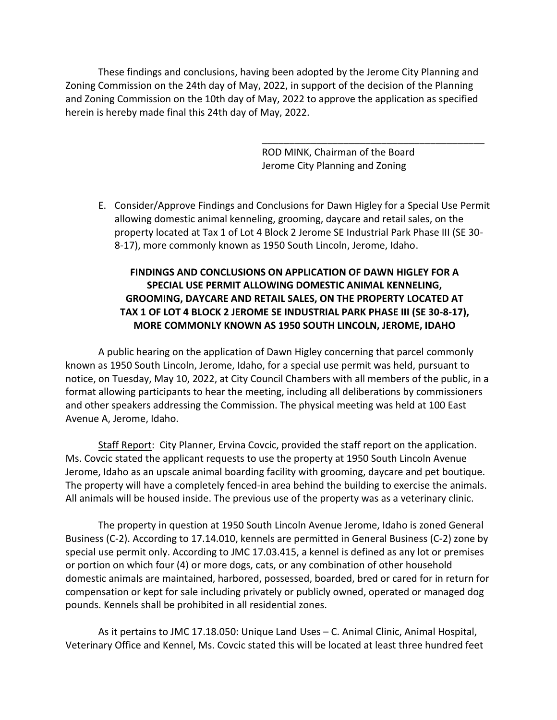These findings and conclusions, having been adopted by the Jerome City Planning and Zoning Commission on the 24th day of May, 2022, in support of the decision of the Planning and Zoning Commission on the 10th day of May, 2022 to approve the application as specified herein is hereby made final this 24th day of May, 2022.

> ROD MINK, Chairman of the Board Jerome City Planning and Zoning

\_\_\_\_\_\_\_\_\_\_\_\_\_\_\_\_\_\_\_\_\_\_\_\_\_\_\_\_\_\_\_\_\_\_\_\_\_\_\_\_\_

E. Consider/Approve Findings and Conclusions for Dawn Higley for a Special Use Permit allowing domestic animal kenneling, grooming, daycare and retail sales, on the property located at Tax 1 of Lot 4 Block 2 Jerome SE Industrial Park Phase III (SE 30- 8-17), more commonly known as 1950 South Lincoln, Jerome, Idaho.

### **FINDINGS AND CONCLUSIONS ON APPLICATION OF DAWN HIGLEY FOR A SPECIAL USE PERMIT ALLOWING DOMESTIC ANIMAL KENNELING, GROOMING, DAYCARE AND RETAIL SALES, ON THE PROPERTY LOCATED AT TAX 1 OF LOT 4 BLOCK 2 JEROME SE INDUSTRIAL PARK PHASE III (SE 30-8-17), MORE COMMONLY KNOWN AS 1950 SOUTH LINCOLN, JEROME, IDAHO**

A public hearing on the application of Dawn Higley concerning that parcel commonly known as 1950 South Lincoln, Jerome, Idaho, for a special use permit was held, pursuant to notice, on Tuesday, May 10, 2022, at City Council Chambers with all members of the public, in a format allowing participants to hear the meeting, including all deliberations by commissioners and other speakers addressing the Commission. The physical meeting was held at 100 East Avenue A, Jerome, Idaho.

Staff Report: City Planner, Ervina Covcic, provided the staff report on the application. Ms. Covcic stated the applicant requests to use the property at 1950 South Lincoln Avenue Jerome, Idaho as an upscale animal boarding facility with grooming, daycare and pet boutique. The property will have a completely fenced-in area behind the building to exercise the animals. All animals will be housed inside. The previous use of the property was as a veterinary clinic.

The property in question at 1950 South Lincoln Avenue Jerome, Idaho is zoned General Business (C-2). According to 17.14.010, kennels are permitted in General Business (C-2) zone by special use permit only. According to JMC 17.03.415, a kennel is defined as any lot or premises or portion on which four (4) or more dogs, cats, or any combination of other household domestic animals are maintained, harbored, possessed, boarded, bred or cared for in return for compensation or kept for sale including privately or publicly owned, operated or managed dog pounds. Kennels shall be prohibited in all residential zones.

As it pertains to JMC 17.18.050: Unique Land Uses – C. Animal Clinic, Animal Hospital, Veterinary Office and Kennel, Ms. Covcic stated this will be located at least three hundred feet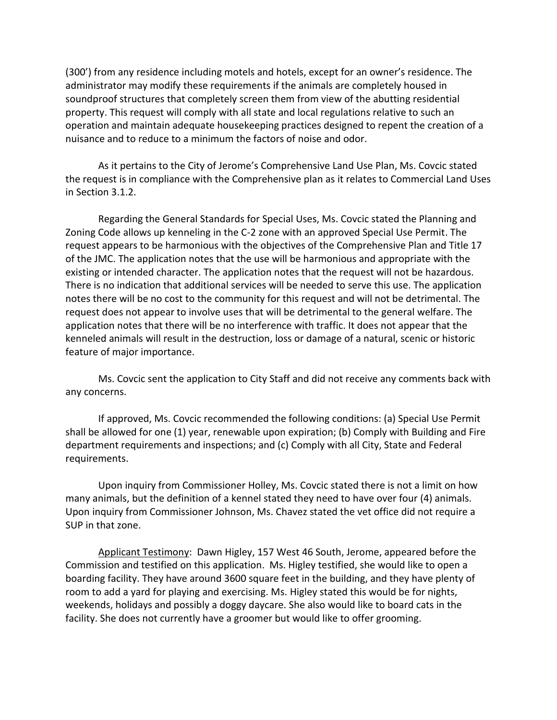(300') from any residence including motels and hotels, except for an owner's residence. The administrator may modify these requirements if the animals are completely housed in soundproof structures that completely screen them from view of the abutting residential property. This request will comply with all state and local regulations relative to such an operation and maintain adequate housekeeping practices designed to repent the creation of a nuisance and to reduce to a minimum the factors of noise and odor.

As it pertains to the City of Jerome's Comprehensive Land Use Plan, Ms. Covcic stated the request is in compliance with the Comprehensive plan as it relates to Commercial Land Uses in Section 3.1.2.

Regarding the General Standards for Special Uses, Ms. Covcic stated the Planning and Zoning Code allows up kenneling in the C-2 zone with an approved Special Use Permit. The request appears to be harmonious with the objectives of the Comprehensive Plan and Title 17 of the JMC. The application notes that the use will be harmonious and appropriate with the existing or intended character. The application notes that the request will not be hazardous. There is no indication that additional services will be needed to serve this use. The application notes there will be no cost to the community for this request and will not be detrimental. The request does not appear to involve uses that will be detrimental to the general welfare. The application notes that there will be no interference with traffic. It does not appear that the kenneled animals will result in the destruction, loss or damage of a natural, scenic or historic feature of major importance.

Ms. Covcic sent the application to City Staff and did not receive any comments back with any concerns.

If approved, Ms. Covcic recommended the following conditions: (a) Special Use Permit shall be allowed for one (1) year, renewable upon expiration; (b) Comply with Building and Fire department requirements and inspections; and (c) Comply with all City, State and Federal requirements.

Upon inquiry from Commissioner Holley, Ms. Covcic stated there is not a limit on how many animals, but the definition of a kennel stated they need to have over four (4) animals. Upon inquiry from Commissioner Johnson, Ms. Chavez stated the vet office did not require a SUP in that zone.

Applicant Testimony: Dawn Higley, 157 West 46 South, Jerome, appeared before the Commission and testified on this application. Ms. Higley testified, she would like to open a boarding facility. They have around 3600 square feet in the building, and they have plenty of room to add a yard for playing and exercising. Ms. Higley stated this would be for nights, weekends, holidays and possibly a doggy daycare. She also would like to board cats in the facility. She does not currently have a groomer but would like to offer grooming.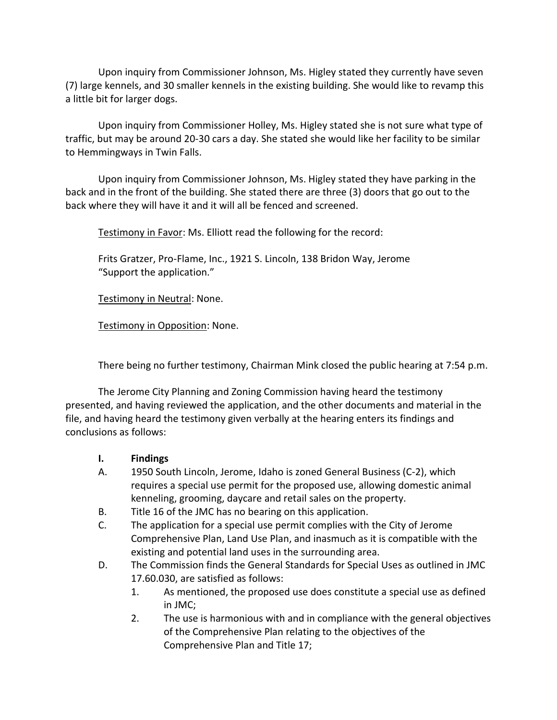Upon inquiry from Commissioner Johnson, Ms. Higley stated they currently have seven (7) large kennels, and 30 smaller kennels in the existing building. She would like to revamp this a little bit for larger dogs.

Upon inquiry from Commissioner Holley, Ms. Higley stated she is not sure what type of traffic, but may be around 20-30 cars a day. She stated she would like her facility to be similar to Hemmingways in Twin Falls.

Upon inquiry from Commissioner Johnson, Ms. Higley stated they have parking in the back and in the front of the building. She stated there are three (3) doors that go out to the back where they will have it and it will all be fenced and screened.

Testimony in Favor: Ms. Elliott read the following for the record:

Frits Gratzer, Pro-Flame, Inc., 1921 S. Lincoln, 138 Bridon Way, Jerome "Support the application."

Testimony in Neutral: None.

Testimony in Opposition: None.

There being no further testimony, Chairman Mink closed the public hearing at 7:54 p.m.

The Jerome City Planning and Zoning Commission having heard the testimony presented, and having reviewed the application, and the other documents and material in the file, and having heard the testimony given verbally at the hearing enters its findings and conclusions as follows:

- **I. Findings**
- A. 1950 South Lincoln, Jerome, Idaho is zoned General Business (C-2), which requires a special use permit for the proposed use, allowing domestic animal kenneling, grooming, daycare and retail sales on the property.
- B. Title 16 of the JMC has no bearing on this application.
- C. The application for a special use permit complies with the City of Jerome Comprehensive Plan, Land Use Plan, and inasmuch as it is compatible with the existing and potential land uses in the surrounding area.
- D. The Commission finds the General Standards for Special Uses as outlined in JMC 17.60.030, are satisfied as follows:
	- 1. As mentioned, the proposed use does constitute a special use as defined in JMC;
	- 2. The use is harmonious with and in compliance with the general objectives of the Comprehensive Plan relating to the objectives of the Comprehensive Plan and Title 17;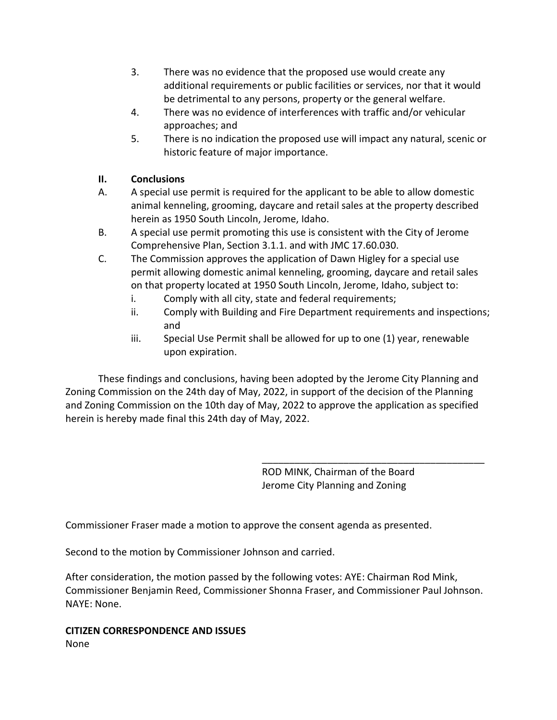- 3. There was no evidence that the proposed use would create any additional requirements or public facilities or services, nor that it would be detrimental to any persons, property or the general welfare.
- 4. There was no evidence of interferences with traffic and/or vehicular approaches; and
- 5. There is no indication the proposed use will impact any natural, scenic or historic feature of major importance.

## **II. Conclusions**

- A. A special use permit is required for the applicant to be able to allow domestic animal kenneling, grooming, daycare and retail sales at the property described herein as 1950 South Lincoln, Jerome, Idaho.
- B. A special use permit promoting this use is consistent with the City of Jerome Comprehensive Plan, Section 3.1.1. and with JMC 17.60.030.
- C. The Commission approves the application of Dawn Higley for a special use permit allowing domestic animal kenneling, grooming, daycare and retail sales on that property located at 1950 South Lincoln, Jerome, Idaho, subject to:
	- i. Comply with all city, state and federal requirements;
	- ii. Comply with Building and Fire Department requirements and inspections; and
	- iii. Special Use Permit shall be allowed for up to one (1) year, renewable upon expiration.

These findings and conclusions, having been adopted by the Jerome City Planning and Zoning Commission on the 24th day of May, 2022, in support of the decision of the Planning and Zoning Commission on the 10th day of May, 2022 to approve the application as specified herein is hereby made final this 24th day of May, 2022.

> ROD MINK, Chairman of the Board Jerome City Planning and Zoning

\_\_\_\_\_\_\_\_\_\_\_\_\_\_\_\_\_\_\_\_\_\_\_\_\_\_\_\_\_\_\_\_\_\_\_\_\_\_\_\_\_

Commissioner Fraser made a motion to approve the consent agenda as presented.

Second to the motion by Commissioner Johnson and carried.

After consideration, the motion passed by the following votes: AYE: Chairman Rod Mink, Commissioner Benjamin Reed, Commissioner Shonna Fraser, and Commissioner Paul Johnson. NAYE: None.

**CITIZEN CORRESPONDENCE AND ISSUES** None